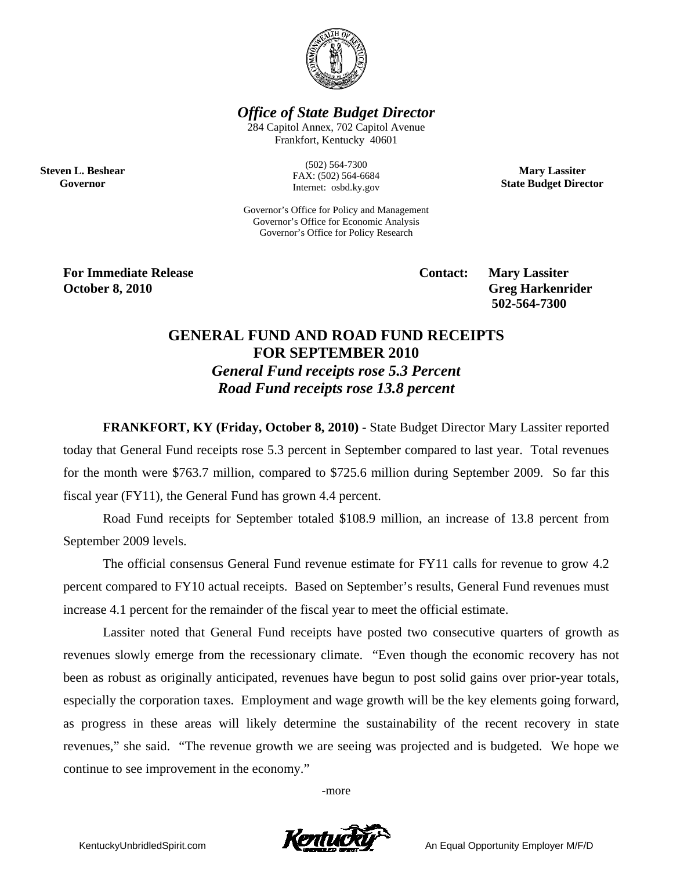

*Office of State Budget Director* 

284 Capitol Annex, 702 Capitol Avenue Frankfort, Kentucky 40601

> (502) 564-7300 FAX: (502) 564-6684 Internet: osbd.ky.gov

**Mary Lassiter State Budget Director** 

Governor's Office for Policy and Management Governor's Office for Economic Analysis Governor's Office for Policy Research

**For Immediate Release Service Service Service Contact: Mary Lassiter October 8, 2010** Greg Harkenrider **Greg Harkenrider Greg Harkenrider Greg Harkenrider** 

**Steven L. Beshear Governor** 

 **502-564-7300** 

## **GENERAL FUND AND ROAD FUND RECEIPTS FOR SEPTEMBER 2010**  *General Fund receipts rose 5.3 Percent Road Fund receipts rose 13.8 percent*

**FRANKFORT, KY (Friday, October 8, 2010) -** State Budget Director Mary Lassiter reported today that General Fund receipts rose 5.3 percent in September compared to last year. Total revenues for the month were \$763.7 million, compared to \$725.6 million during September 2009. So far this fiscal year (FY11), the General Fund has grown 4.4 percent.

Road Fund receipts for September totaled \$108.9 million, an increase of 13.8 percent from September 2009 levels.

 The official consensus General Fund revenue estimate for FY11 calls for revenue to grow 4.2 percent compared to FY10 actual receipts. Based on September's results, General Fund revenues must increase 4.1 percent for the remainder of the fiscal year to meet the official estimate.

Lassiter noted that General Fund receipts have posted two consecutive quarters of growth as revenues slowly emerge from the recessionary climate. "Even though the economic recovery has not been as robust as originally anticipated, revenues have begun to post solid gains over prior-year totals, especially the corporation taxes. Employment and wage growth will be the key elements going forward, as progress in these areas will likely determine the sustainability of the recent recovery in state revenues," she said. "The revenue growth we are seeing was projected and is budgeted. We hope we continue to see improvement in the economy."

-more

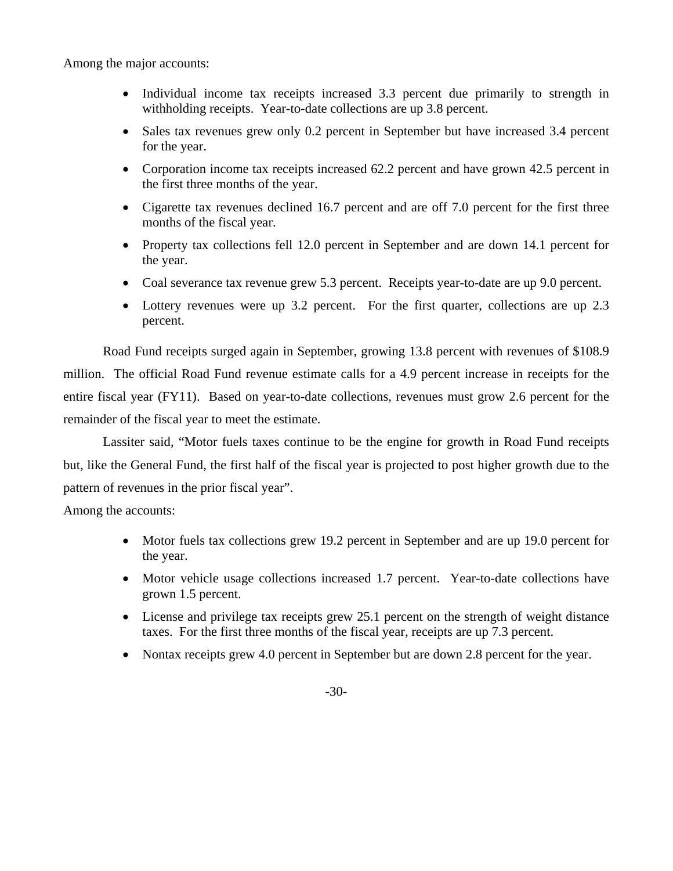Among the major accounts:

- Individual income tax receipts increased 3.3 percent due primarily to strength in withholding receipts. Year-to-date collections are up 3.8 percent.
- Sales tax revenues grew only 0.2 percent in September but have increased 3.4 percent for the year.
- Corporation income tax receipts increased 62.2 percent and have grown 42.5 percent in the first three months of the year.
- Cigarette tax revenues declined 16.7 percent and are off 7.0 percent for the first three months of the fiscal year.
- Property tax collections fell 12.0 percent in September and are down 14.1 percent for the year.
- Coal severance tax revenue grew 5.3 percent. Receipts year-to-date are up 9.0 percent.
- Lottery revenues were up 3.2 percent. For the first quarter, collections are up 2.3 percent.

 Road Fund receipts surged again in September, growing 13.8 percent with revenues of \$108.9 million. The official Road Fund revenue estimate calls for a 4.9 percent increase in receipts for the entire fiscal year (FY11). Based on year-to-date collections, revenues must grow 2.6 percent for the remainder of the fiscal year to meet the estimate.

Lassiter said, "Motor fuels taxes continue to be the engine for growth in Road Fund receipts but, like the General Fund, the first half of the fiscal year is projected to post higher growth due to the pattern of revenues in the prior fiscal year".

Among the accounts:

- Motor fuels tax collections grew 19.2 percent in September and are up 19.0 percent for the year.
- Motor vehicle usage collections increased 1.7 percent. Year-to-date collections have grown 1.5 percent.
- License and privilege tax receipts grew 25.1 percent on the strength of weight distance taxes. For the first three months of the fiscal year, receipts are up 7.3 percent.
- Nontax receipts grew 4.0 percent in September but are down 2.8 percent for the year.

-30-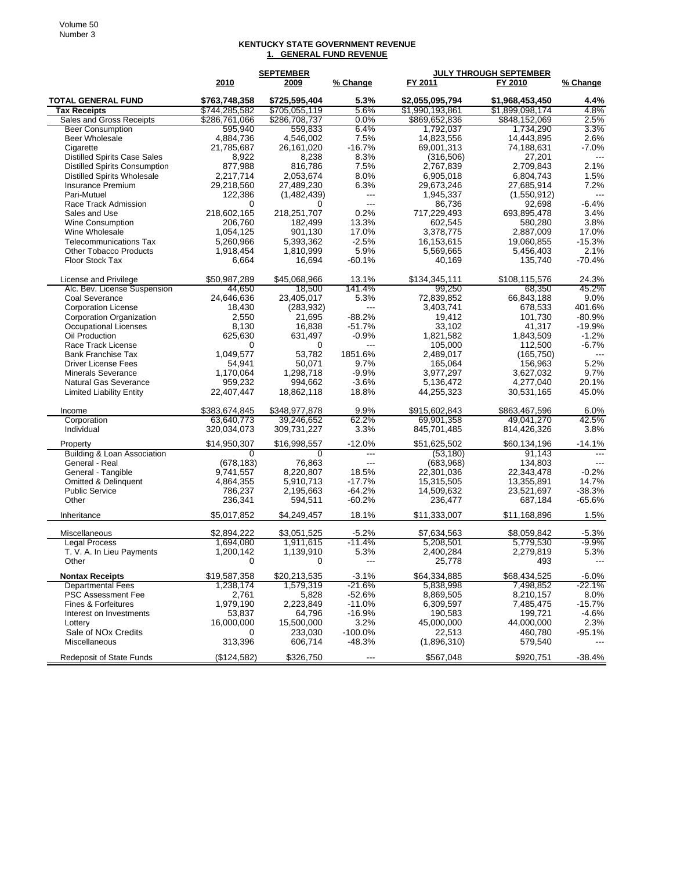## **KENTUCKY STATE GOVERNMENT REVENUE 1. GENERAL FUND REVENUE**

|                                                         |                        | <b>SEPTEMBER</b>       |                              | <b>JULY THROUGH SEPTEMBER</b> |                        |              |
|---------------------------------------------------------|------------------------|------------------------|------------------------------|-------------------------------|------------------------|--------------|
|                                                         | 2010                   | 2009                   | % Change                     | FY 2011                       | FY 2010                | % Change     |
| <b>TOTAL GENERAL FUND</b>                               | \$763,748,358          | \$725,595,404          | 5.3%                         | \$2,055,095,794               | \$1,968,453,450        | 4.4%         |
| <b>Tax Receipts</b>                                     | \$744,285,582          | \$705,055,119          | 5.6%                         | \$1,990,193,861               | \$1,899,098,174        | 4.8%         |
| Sales and Gross Receipts                                | \$286,761,066          | \$286,708,737          | $0.0\%$                      | \$869,652,836                 | \$848,152,069          | 2.5%         |
| <b>Beer Consumption</b>                                 | 595,940                | 559,833                | 6.4%                         | 1,792,037                     | 1,734,290              | 3.3%         |
| <b>Beer Wholesale</b>                                   | 4,884,736              | 4,546,002              | 7.5%                         | 14,823,556                    | 14,443,895             | 2.6%         |
| Cigarette                                               | 21,785,687             | 26,161,020             | $-16.7%$                     | 69,001,313                    | 74,188,631             | $-7.0%$      |
| <b>Distilled Spirits Case Sales</b>                     | 8,922                  | 8,238                  | 8.3%                         | (316,506)                     | 27,201                 | ---          |
| <b>Distilled Spirits Consumption</b>                    | 877,988                | 816,786                | 7.5%                         | 2,767,839                     | 2,709,843              | 2.1%         |
| <b>Distilled Spirits Wholesale</b>                      | 2.217.714              | 2,053,674              | 8.0%                         | 6,905,018                     | 6,804,743              | 1.5%         |
| Insurance Premium                                       | 29,218,560             | 27,489,230             | 6.3%                         | 29,673,246                    | 27,685,914             | 7.2%         |
| Pari-Mutuel                                             | 122,386                | (1,482,439)            | $\qquad \qquad - -$<br>$---$ | 1,945,337                     | (1,550,912)            |              |
| Race Track Admission                                    | 0                      | 0                      | 0.2%                         | 86,736                        | 92,698                 | $-6.4%$      |
| Sales and Use                                           | 218,602,165<br>206,760 | 218,251,707<br>182.499 | 13.3%                        | 717,229,493<br>602,545        | 693,895,478<br>580,280 | 3.4%<br>3.8% |
| Wine Consumption<br>Wine Wholesale                      | 1,054,125              | 901,130                | 17.0%                        | 3,378,775                     | 2,887,009              | 17.0%        |
| <b>Telecommunications Tax</b>                           | 5,260,966              | 5,393,362              | $-2.5%$                      | 16,153,615                    | 19,060,855             | $-15.3%$     |
| <b>Other Tobacco Products</b>                           | 1,918,454              | 1,810,999              | 5.9%                         | 5,569,665                     | 5,456,403              | 2.1%         |
| Floor Stock Tax                                         | 6,664                  | 16,694                 | -60.1%                       | 40,169                        | 135,740                | $-70.4%$     |
|                                                         |                        |                        |                              |                               |                        |              |
| License and Privilege                                   | \$50,987,289           | \$45,068,966           | 13.1%                        | \$134,345,111                 | \$108,115,576          | 24.3%        |
| Alc. Bev. License Suspension                            | 44,650                 | 18.500                 | 141.4%                       | 99.250                        | 68,350                 | 45.2%        |
| Coal Severance                                          | 24,646,636             | 23,405,017             | 5.3%                         | 72,839,852                    | 66,843,188             | 9.0%         |
| <b>Corporation License</b>                              | 18,430                 | (283, 932)             | ---                          | 3,403,741                     | 678,533                | 401.6%       |
| Corporation Organization                                | 2,550                  | 21,695                 | $-88.2%$                     | 19,412                        | 101,730                | $-80.9%$     |
| Occupational Licenses                                   | 8,130                  | 16,838                 | $-51.7%$                     | 33,102                        | 41,317                 | $-19.9%$     |
| Oil Production                                          | 625,630                | 631,497                | $-0.9%$                      | 1,821,582                     | 1,843,509              | $-1.2%$      |
| Race Track License                                      | 0                      | 0                      | ---                          | 105,000                       | 112,500                | $-6.7%$      |
| <b>Bank Franchise Tax</b><br><b>Driver License Fees</b> | 1.049.577<br>54,941    | 53,782                 | 1851.6%<br>9.7%              | 2,489,017<br>165,064          | (165, 750)             | 5.2%         |
| <b>Minerals Severance</b>                               | 1,170,064              | 50,071<br>1,298,718    | $-9.9%$                      | 3,977,297                     | 156,963<br>3,627,032   | 9.7%         |
| <b>Natural Gas Severance</b>                            | 959,232                | 994,662                | $-3.6%$                      | 5,136,472                     | 4,277,040              | 20.1%        |
| <b>Limited Liability Entity</b>                         | 22,407,447             | 18,862,118             | 18.8%                        | 44,255,323                    | 30,531,165             | 45.0%        |
|                                                         |                        |                        |                              |                               |                        |              |
| Income                                                  | \$383,674,845          | \$348,977,878          | 9.9%                         | \$915,602,843                 | \$863,467,596          | 6.0%         |
| Corporation                                             | 63,640,773             | 39,246,652             | 62.2%                        | 69,901,358                    | 49,041,270             | 42.5%        |
| Individual                                              | 320,034,073            | 309,731,227            | 3.3%                         | 845,701,485                   | 814,426,326            | 3.8%         |
| Property                                                | \$14,950,307           | \$16,998,557           | $-12.0%$                     | \$51,625,502                  | \$60,134,196           | $-14.1%$     |
| Building & Loan Association                             | $\Omega$               | $\Omega$               | $\qquad \qquad - -$          | (53, 180)                     | 91.143                 | ---          |
| General - Real                                          | (678, 183)             | 76,863                 | ---                          | (683,968)                     | 134,803                |              |
| General - Tangible                                      | 9,741,557              | 8,220,807              | 18.5%                        | 22,301,036                    | 22,343,478             | $-0.2%$      |
| Omitted & Delinquent                                    | 4,864,355              | 5,910,713              | $-17.7%$                     | 15,315,505                    | 13,355,891             | 14.7%        |
| <b>Public Service</b>                                   | 786,237                | 2,195,663              | $-64.2%$                     | 14,509,632                    | 23,521,697             | $-38.3%$     |
| Other                                                   | 236,341                | 594,511                | $-60.2%$                     | 236,477                       | 687,184                | $-65.6%$     |
| Inheritance                                             | \$5,017,852            | \$4,249,457            | 18.1%                        | \$11,333,007                  | \$11,168,896           | 1.5%         |
| Miscellaneous                                           | \$2,894,222            | \$3,051,525            | $-5.2%$                      | \$7,634,563                   | \$8,059,842            | $-5.3%$      |
| <b>Legal Process</b>                                    | 1,694,080              | 1,911,615              | $-11.4%$                     | 5,208,501                     | 5,779,530              | $-9.9\%$     |
| T. V. A. In Lieu Payments                               | 1,200,142              | 1,139,910              | 5.3%                         | 2,400,284                     | 2,279,819              | 5.3%         |
| Other                                                   |                        |                        |                              | 25,778                        | 493                    |              |
| <b>Nontax Receipts</b>                                  | \$19,587,358           | \$20,213,535           | $-3.1\%$                     | \$64,334,885                  | \$68,434,525           | -6.0%        |
| <b>Departmental Fees</b>                                | 1,238,174              | 1,579,319              | -21.6%                       | 5,838,998                     | 7,498,852              | -22.1%       |
| <b>PSC Assessment Fee</b>                               | 2,761                  | 5,828                  | $-52.6%$                     | 8,869,505                     | 8,210,157              | 8.0%         |
| <b>Fines &amp; Forfeitures</b>                          | 1,979,190              | 2,223,849              | $-11.0%$                     | 6,309,597                     | 7,485,475              | $-15.7%$     |
| Interest on Investments                                 | 53,837                 | 64,796                 | $-16.9%$                     | 190,583                       | 199,721                | $-4.6%$      |
| Lottery                                                 | 16,000,000             | 15,500,000             | 3.2%                         | 45,000,000                    | 44,000,000             | 2.3%         |
| Sale of NO <sub>x</sub> Credits                         | 0                      | 233,030                | -100.0%                      | 22,513                        | 460,780                | -95.1%       |
| <b>Miscellaneous</b>                                    | 313,396                | 606,714                | $-48.3%$                     | (1,896,310)                   | 579,540                |              |
| <b>Redeposit of State Funds</b>                         | (\$124,582)            | \$326,750              | ---                          | \$567,048                     | \$920,751              | $-38.4%$     |